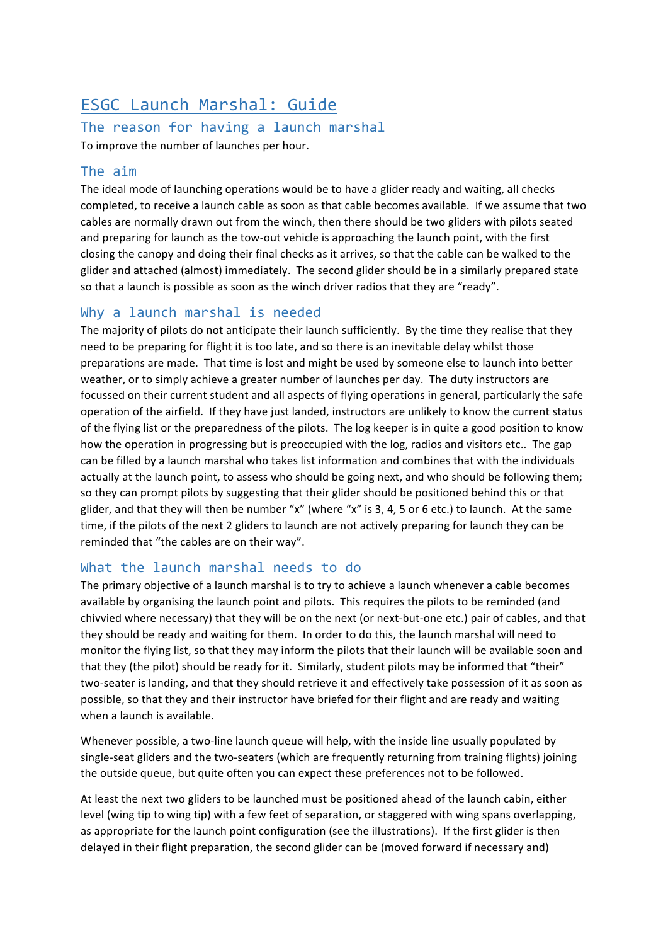# ESGC Launch Marshal: Guide

## The reason for having a launch marshal

To improve the number of launches per hour.

#### The aim

The ideal mode of launching operations would be to have a glider ready and waiting, all checks completed, to receive a launch cable as soon as that cable becomes available. If we assume that two cables are normally drawn out from the winch, then there should be two gliders with pilots seated and preparing for launch as the tow-out vehicle is approaching the launch point, with the first closing the canopy and doing their final checks as it arrives, so that the cable can be walked to the glider and attached (almost) immediately. The second glider should be in a similarly prepared state so that a launch is possible as soon as the winch driver radios that they are "ready".

#### Why a launch marshal is needed

The majority of pilots do not anticipate their launch sufficiently. By the time they realise that they need to be preparing for flight it is too late, and so there is an inevitable delay whilst those preparations are made. That time is lost and might be used by someone else to launch into better weather, or to simply achieve a greater number of launches per day. The duty instructors are focussed on their current student and all aspects of flying operations in general, particularly the safe operation of the airfield. If they have just landed, instructors are unlikely to know the current status of the flying list or the preparedness of the pilots. The log keeper is in quite a good position to know how the operation in progressing but is preoccupied with the log, radios and visitors etc.. The gap can be filled by a launch marshal who takes list information and combines that with the individuals actually at the launch point, to assess who should be going next, and who should be following them; so they can prompt pilots by suggesting that their glider should be positioned behind this or that glider, and that they will then be number "x" (where "x" is 3, 4, 5 or 6 etc.) to launch. At the same time, if the pilots of the next 2 gliders to launch are not actively preparing for launch they can be reminded that "the cables are on their way".

#### What the launch marshal needs to do

The primary objective of a launch marshal is to try to achieve a launch whenever a cable becomes available by organising the launch point and pilots. This requires the pilots to be reminded (and chivvied where necessary) that they will be on the next (or next-but-one etc.) pair of cables, and that they should be ready and waiting for them. In order to do this, the launch marshal will need to monitor the flying list, so that they may inform the pilots that their launch will be available soon and that they (the pilot) should be ready for it. Similarly, student pilots may be informed that "their" two-seater is landing, and that they should retrieve it and effectively take possession of it as soon as possible, so that they and their instructor have briefed for their flight and are ready and waiting when a launch is available.

Whenever possible, a two-line launch queue will help, with the inside line usually populated by single-seat gliders and the two-seaters (which are frequently returning from training flights) joining the outside queue, but quite often you can expect these preferences not to be followed.

At least the next two gliders to be launched must be positioned ahead of the launch cabin, either level (wing tip to wing tip) with a few feet of separation, or staggered with wing spans overlapping, as appropriate for the launch point configuration (see the illustrations). If the first glider is then delayed in their flight preparation, the second glider can be (moved forward if necessary and)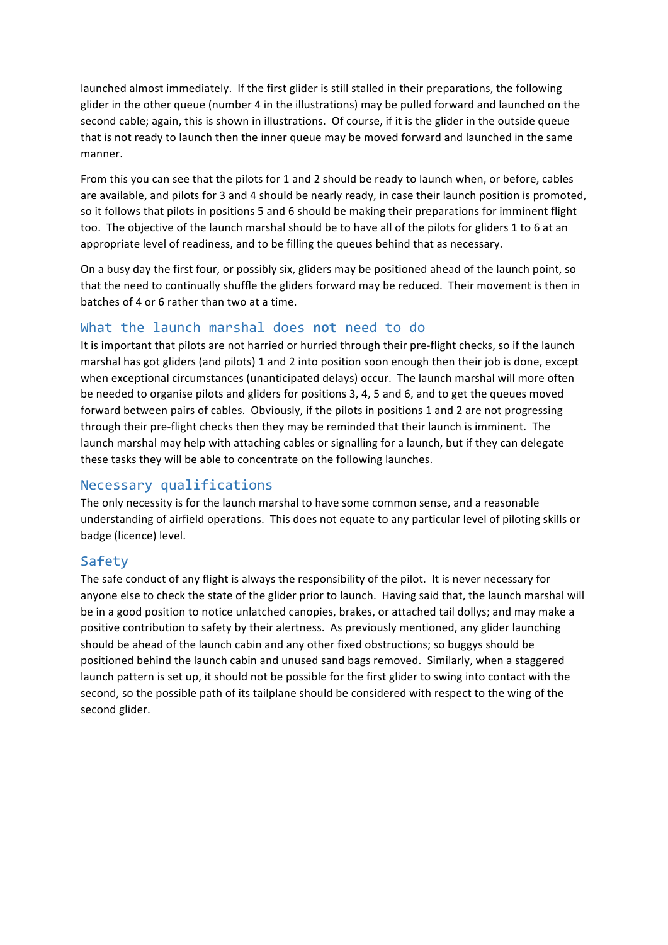launched almost immediately. If the first glider is still stalled in their preparations, the following glider in the other queue (number 4 in the illustrations) may be pulled forward and launched on the second cable; again, this is shown in illustrations. Of course, if it is the glider in the outside queue that is not ready to launch then the inner queue may be moved forward and launched in the same manner.

From this you can see that the pilots for 1 and 2 should be ready to launch when, or before, cables are available, and pilots for 3 and 4 should be nearly ready, in case their launch position is promoted, so it follows that pilots in positions 5 and 6 should be making their preparations for imminent flight too. The objective of the launch marshal should be to have all of the pilots for gliders 1 to 6 at an appropriate level of readiness, and to be filling the queues behind that as necessary.

On a busy day the first four, or possibly six, gliders may be positioned ahead of the launch point, so that the need to continually shuffle the gliders forward may be reduced. Their movement is then in batches of 4 or 6 rather than two at a time.

### What the launch marshal does **not** need to do

It is important that pilots are not harried or hurried through their pre-flight checks, so if the launch marshal has got gliders (and pilots) 1 and 2 into position soon enough then their job is done, except when exceptional circumstances (unanticipated delays) occur. The launch marshal will more often be needed to organise pilots and gliders for positions 3, 4, 5 and 6, and to get the queues moved forward between pairs of cables. Obviously, if the pilots in positions 1 and 2 are not progressing through their pre-flight checks then they may be reminded that their launch is imminent. The launch marshal may help with attaching cables or signalling for a launch, but if they can delegate these tasks they will be able to concentrate on the following launches.

#### Necessary qualifications

The only necessity is for the launch marshal to have some common sense, and a reasonable understanding of airfield operations. This does not equate to any particular level of piloting skills or badge (licence) level.

#### Safety

The safe conduct of any flight is always the responsibility of the pilot. It is never necessary for anyone else to check the state of the glider prior to launch. Having said that, the launch marshal will be in a good position to notice unlatched canopies, brakes, or attached tail dollys; and may make a positive contribution to safety by their alertness. As previously mentioned, any glider launching should be ahead of the launch cabin and any other fixed obstructions; so buggys should be positioned behind the launch cabin and unused sand bags removed. Similarly, when a staggered launch pattern is set up, it should not be possible for the first glider to swing into contact with the second, so the possible path of its tailplane should be considered with respect to the wing of the second glider.